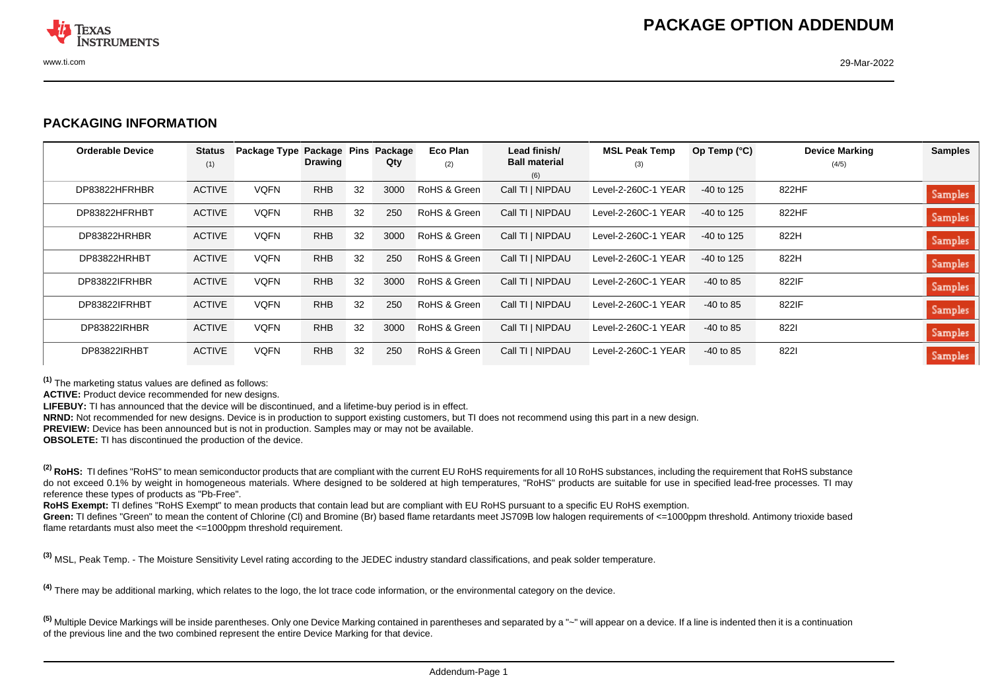

## **PACKAGING INFORMATION**

| <b>Orderable Device</b> | <b>Status</b><br>(1) | Package Type Package Pins | <b>Drawing</b> |    | Package<br>Qty | Eco Plan<br>(2) | Lead finish/<br><b>Ball material</b> | <b>MSL Peak Temp</b><br>(3) | Op Temp $(^{\circ}C)$ | <b>Device Marking</b><br>(4/5) | <b>Samples</b> |
|-------------------------|----------------------|---------------------------|----------------|----|----------------|-----------------|--------------------------------------|-----------------------------|-----------------------|--------------------------------|----------------|
|                         |                      |                           |                |    |                |                 | (6)                                  |                             |                       |                                |                |
| DP83822HFRHBR           | <b>ACTIVE</b>        | <b>VQFN</b>               | <b>RHB</b>     | 32 | 3000           | RoHS & Green    | Call TI   NIPDAU                     | Level-2-260C-1 YEAR         | $-40$ to 125          | 822HF                          | Samples        |
| DP83822HFRHBT           | <b>ACTIVE</b>        | <b>VQFN</b>               | <b>RHB</b>     | 32 | 250            | RoHS & Green    | Call TI   NIPDAU                     | Level-2-260C-1 YEAR         | $-40$ to 125          | 822HF                          | <b>Samples</b> |
| DP83822HRHBR            | <b>ACTIVE</b>        | <b>VQFN</b>               | <b>RHB</b>     | 32 | 3000           | RoHS & Green    | Call TI   NIPDAU                     | Level-2-260C-1 YEAR         | $-40$ to 125          | 822H                           | <b>Samples</b> |
| DP83822HRHBT            | <b>ACTIVE</b>        | <b>VQFN</b>               | <b>RHB</b>     | 32 | 250            | RoHS & Green    | Call TI   NIPDAU                     | Level-2-260C-1 YEAR         | $-40$ to 125          | 822H                           | <b>Samples</b> |
| DP83822IFRHBR           | <b>ACTIVE</b>        | <b>VQFN</b>               | <b>RHB</b>     | 32 | 3000           | RoHS & Green    | Call TI   NIPDAU                     | Level-2-260C-1 YEAR         | $-40$ to 85           | 822IF                          | <b>Samples</b> |
| DP83822IFRHBT           | <b>ACTIVE</b>        | <b>VQFN</b>               | <b>RHB</b>     | 32 | 250            | RoHS & Green    | Call TI   NIPDAU                     | Level-2-260C-1 YEAR         | $-40$ to 85           | 822IF                          | <b>Samples</b> |
| DP83822IRHBR            | <b>ACTIVE</b>        | <b>VQFN</b>               | <b>RHB</b>     | 32 | 3000           | RoHS & Green    | Call TI   NIPDAU                     | Level-2-260C-1 YEAR         | $-40$ to 85           | 8221                           | Samples        |
| DP83822IRHBT            | <b>ACTIVE</b>        | <b>VQFN</b>               | <b>RHB</b>     | 32 | 250            | RoHS & Green    | Call TI   NIPDAU                     | Level-2-260C-1 YEAR         | $-40$ to 85           | 8221                           | Samples        |

**(1)** The marketing status values are defined as follows:

**ACTIVE:** Product device recommended for new designs.

**LIFEBUY:** TI has announced that the device will be discontinued, and a lifetime-buy period is in effect.

**NRND:** Not recommended for new designs. Device is in production to support existing customers, but TI does not recommend using this part in a new design.

**PREVIEW:** Device has been announced but is not in production. Samples may or may not be available.

**OBSOLETE:** TI has discontinued the production of the device.

<sup>(2)</sup> RoHS: TI defines "RoHS" to mean semiconductor products that are compliant with the current EU RoHS requirements for all 10 RoHS substances, including the requirement that RoHS substance do not exceed 0.1% by weight in homogeneous materials. Where designed to be soldered at high temperatures, "RoHS" products are suitable for use in specified lead-free processes. TI may reference these types of products as "Pb-Free".

**RoHS Exempt:** TI defines "RoHS Exempt" to mean products that contain lead but are compliant with EU RoHS pursuant to a specific EU RoHS exemption.

Green: TI defines "Green" to mean the content of Chlorine (CI) and Bromine (Br) based flame retardants meet JS709B low halogen requirements of <=1000ppm threshold. Antimony trioxide based flame retardants must also meet the <=1000ppm threshold requirement.

**(3)** MSL, Peak Temp. - The Moisture Sensitivity Level rating according to the JEDEC industry standard classifications, and peak solder temperature.

**(4)** There may be additional marking, which relates to the logo, the lot trace code information, or the environmental category on the device.

**(5)** Multiple Device Markings will be inside parentheses. Only one Device Marking contained in parentheses and separated by a "~" will appear on a device. If a line is indented then it is a continuation of the previous line and the two combined represent the entire Device Marking for that device.